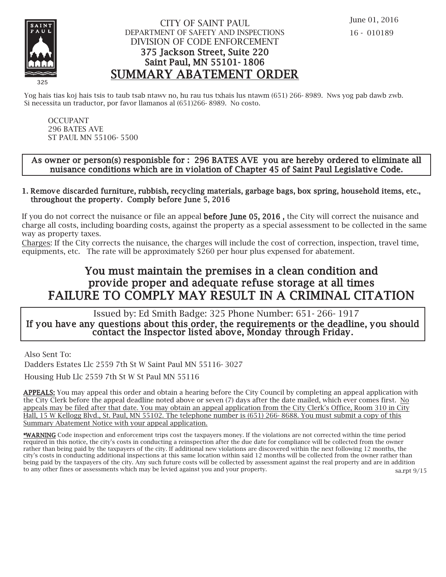

## CITY OF SAINT PAUL DEPARTMENT OF SAFETY AND INSPECTIONS DIVISION OF CODE ENFORCEMENT 375 Jackson Street, Suite 220 Saint Paul, MN 55101- 1806 SUMMARY ABATEMENT ORDER

Yog hais tias koj hais tsis to taub tsab ntawv no, hu rau tus txhais lus ntawm (651) 266- 8989. Nws yog pab dawb zwb. Si necessita un traductor, por favor llamanos al (651)266- 8989. No costo.

OCCUPANT 296 BATES AVE ST PAUL MN 55106- 5500

### As owner or person(s) responisble for : 296 BATES AVE you are hereby ordered to eliminate all nuisance conditions which are in violation of Chapter 45 of Saint Paul Legislative Code.

#### 1. Remove discarded furniture, rubbish, recycling materials, garbage bags, box spring, household items, etc., throughout the property. Comply before June 5, 2016

If you do not correct the nuisance or file an appeal **before June 05, 2016**, the City will correct the nuisance and charge all costs, including boarding costs, against the property as a special assessment to be collected in the same way as property taxes.

Charges: If the City corrects the nuisance, the charges will include the cost of correction, inspection, travel time, equipments, etc. The rate will be approximately \$260 per hour plus expensed for abatement.

# You must maintain the premises in a clean condition and prov ide proper and adequate refuse storage at all times FAILURE TO COMPLY MAY RESULT IN A CRIMINAL CITATION

 Issued by: Ed Smith Badge: 325 Phone Number: 651- 266- 1917 If you have any questions about this order, the requirements or the deadline, you should contact the Inspector listed above, Monday through Friday.

Also Sent To:

Dadders Estates Llc 2559 7th St W Saint Paul MN 55116- 3027

Housing Hub Llc 2559 7th St W St Paul MN 55116

APPEALS: You may appeal this order and obtain a hearing before the City Council by completing an appeal application with the City Clerk before the appeal deadline noted above or seven (7) days after the date mailed, which ever comes first. No appeals may be filed after that date. You may obtain an appeal application from the City Clerk's Office, Room 310 in City Hall, 15 W Kellogg Blvd., St. Paul, MN 55102. The telephone number is (651) 266- 8688. You must submit a copy of this Summary Abatement Notice with your appeal application.

\*WARNING Code inspection and enforcement trips cost the taxpayers money. If the violations are not corrected within the time period required in this notice, the city's costs in conducting a reinspection after the due date for compliance will be collected from the owner rather than being paid by the taxpayers of the city. If additional new violations are discovered within the next following 12 months, the city's costs in conducting additional inspections at this same location within said 12 months will be collected from the owner rather than being paid by the taxpayers of the city. Any such future costs will be collected by assessment against the real property and are in addition to any other fines or assessments which may be levied against you and your property. sa.rpt 9/15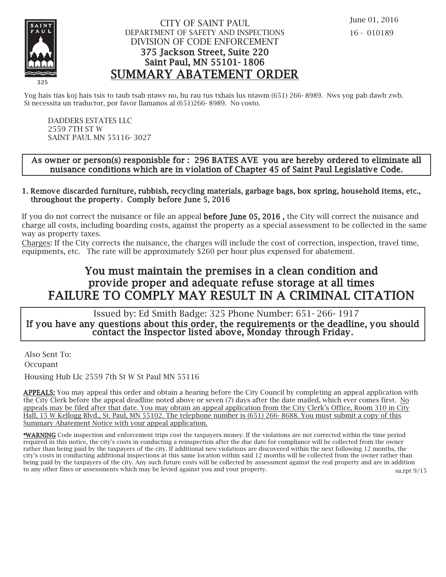

## CITY OF SAINT PAUL DEPARTMENT OF SAFETY AND INSPECTIONS DIVISION OF CODE ENFORCEMENT 375 Jackson Street, Suite 220 Saint Paul, MN 55101- 1806 SUMMARY ABATEMENT ORDER

Yog hais tias koj hais tsis to taub tsab ntawv no, hu rau tus txhais lus ntawm (651) 266- 8989. Nws yog pab dawb zwb. Si necessita un traductor, por favor llamanos al (651)266- 8989. No costo.

DADDERS ESTATES LLC 2559 7TH ST W SAINT PAUL MN 55116- 3027

### As owner or person(s) responisble for : 296 BATES AVE you are hereby ordered to eliminate all nuisance conditions which are in violation of Chapter 45 of Saint Paul Legislative Code.

#### 1. Remove discarded furniture, rubbish, recycling materials, garbage bags, box spring, household items, etc., throughout the property. Comply before June 5, 2016

If you do not correct the nuisance or file an appeal **before June 05, 2016**, the City will correct the nuisance and charge all costs, including boarding costs, against the property as a special assessment to be collected in the same way as property taxes.

Charges: If the City corrects the nuisance, the charges will include the cost of correction, inspection, travel time, equipments, etc. The rate will be approximately \$260 per hour plus expensed for abatement.

# You must maintain the premises in a clean condition and prov ide proper and adequate refuse storage at all times FAILURE TO COMPLY MAY RESULT IN A CRIMINAL CITATION

 Issued by: Ed Smith Badge: 325 Phone Number: 651- 266- 1917 If you have any questions about this order, the requirements or the deadline, you should contact the Inspector listed above, Monday through Friday.

Also Sent To: Occupant

Housing Hub Llc 2559 7th St W St Paul MN 55116

APPEALS: You may appeal this order and obtain a hearing before the City Council by completing an appeal application with the City Clerk before the appeal deadline noted above or seven (7) days after the date mailed, which ever comes first. No appeals may be filed after that date. You may obtain an appeal application from the City Clerk's Office, Room 310 in City Hall, 15 W Kellogg Blvd., St. Paul, MN 55102. The telephone number is (651) 266- 8688. You must submit a copy of this Summary Abatement Notice with your appeal application.

\*WARNING Code inspection and enforcement trips cost the taxpayers money. If the violations are not corrected within the time period required in this notice, the city's costs in conducting a reinspection after the due date for compliance will be collected from the owner rather than being paid by the taxpayers of the city. If additional new violations are discovered within the next following 12 months, the city's costs in conducting additional inspections at this same location within said 12 months will be collected from the owner rather than being paid by the taxpayers of the city. Any such future costs will be collected by assessment against the real property and are in addition to any other fines or assessments which may be levied against you and your property. sa.rpt 9/15